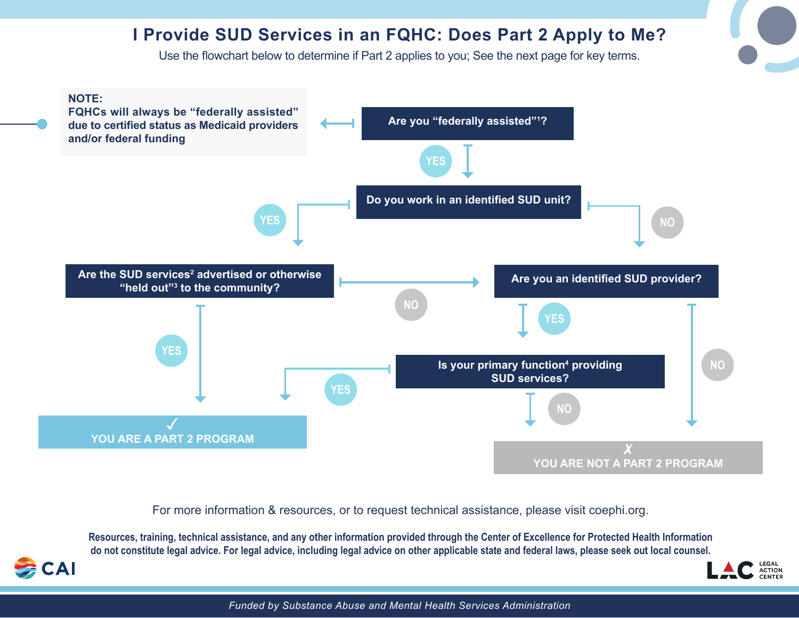## **I Provide SUD Services in an FQHC: Does Part 2 Apply to Me?**

Use the flowchart below to determine if Part 2 applies to you; See the next page for key terms.



For more information & resources, or to request technical assistance, please visit coephi.org.

**Resources, training, technical assistance, and any other information provided through the Center of Excellence for Protected Health Information do not constitute legal advice. For legal advice, including legal advice on other applicable state and federal laws, please seek out local counsel.**

**CAI** 



*Funded by Substance Abuse and Mental Health Services Administration*